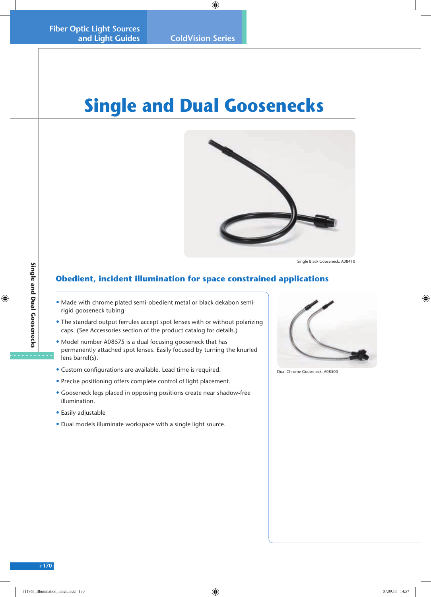## **Single and Dual Goosenecks**



Single Black Gooseneck, A08410

## **Obedient, incident illumination for space constrained applications**

- Made with chrome plated semi-obedient metal or black dekabon semirigid gooseneck tubing
- The standard output ferrules accept spot lenses with or without polarizing caps. (See Accessories section of the product catalog for details.)
- Model number A08575 is a dual focusing gooseneck that has permanently attached spot lenses. Easily focused by turning the knurled lens barrel(s).
- Custom configurations are available. Lead time is required.
- Precise positioning offers complete control of light placement.
- Gooseneck legs placed in opposing positions create near shadow-free illumination.
- Easily adjustable
- Dual models illuminate workspace with a single light source.



Dual Chrome Gooseneck, A08500